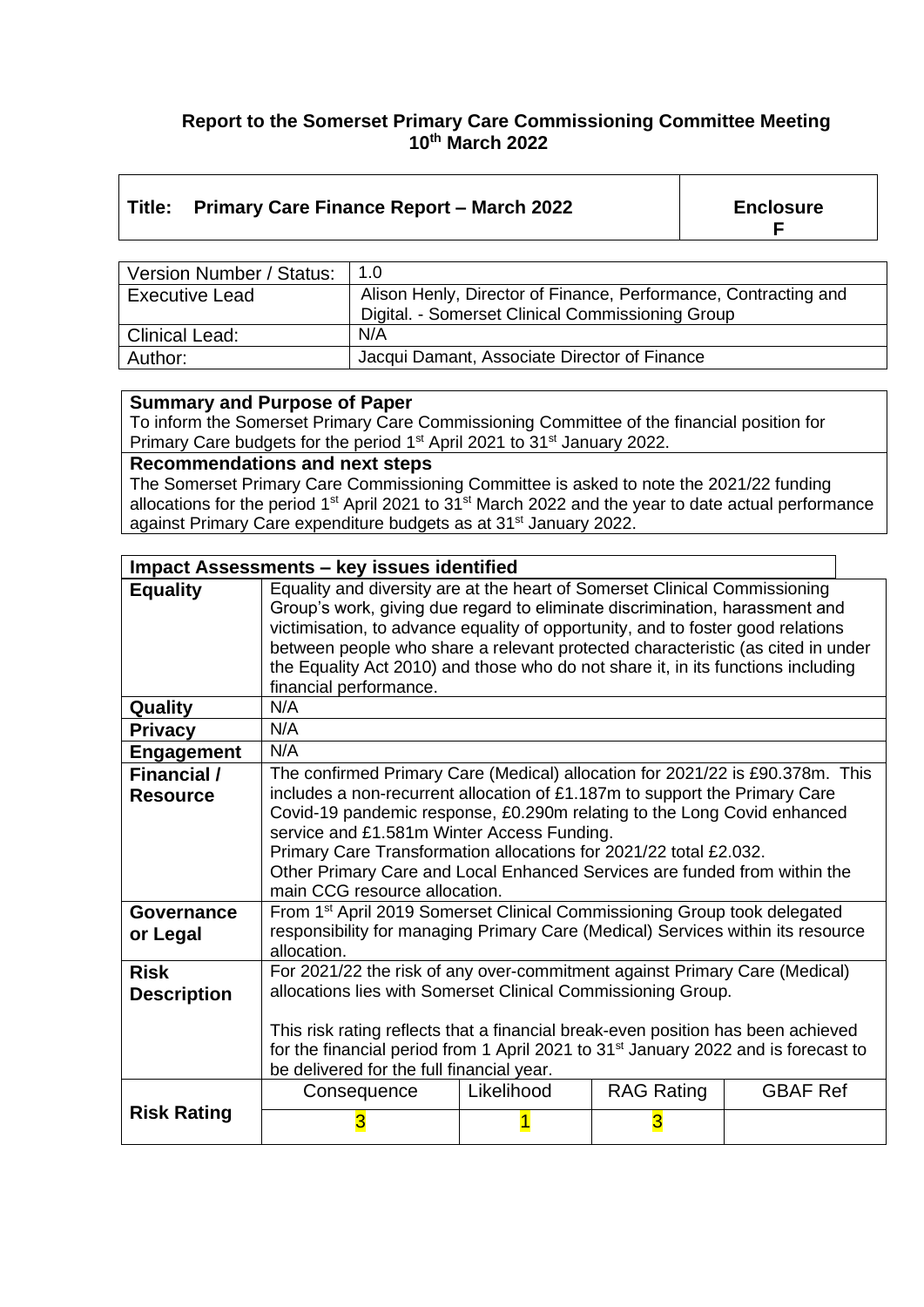#### **Report to the Somerset Primary Care Commissioning Committee Meeting 10th March 2022**

### **Title: Primary Care Finance Report – March 2022 Enclosure**

**F**

| Version Number / Status: | 1.0                                                             |
|--------------------------|-----------------------------------------------------------------|
| <b>Executive Lead</b>    | Alison Henly, Director of Finance, Performance, Contracting and |
|                          | Digital. - Somerset Clinical Commissioning Group                |
| <b>Clinical Lead:</b>    | N/A                                                             |
| Author:                  | Jacqui Damant, Associate Director of Finance                    |

#### **Summary and Purpose of Paper**

To inform the Somerset Primary Care Commissioning Committee of the financial position for Primary Care budgets for the period 1<sup>st</sup> April 2021 to 31<sup>st</sup> January 2022.

**Recommendations and next steps**

The Somerset Primary Care Commissioning Committee is asked to note the 2021/22 funding allocations for the period  $1<sup>st</sup>$  April 2021 to 31 $<sup>st</sup>$  March 2022 and the year to date actual performance</sup> against Primary Care expenditure budgets as at 31<sup>st</sup> January 2022.

| <b>Impact Assessments - key issues identified</b> |                                                                                                                                                                                                                                                                                                                                                                                                                                               |            |                   |                 |
|---------------------------------------------------|-----------------------------------------------------------------------------------------------------------------------------------------------------------------------------------------------------------------------------------------------------------------------------------------------------------------------------------------------------------------------------------------------------------------------------------------------|------------|-------------------|-----------------|
| <b>Equality</b>                                   | Equality and diversity are at the heart of Somerset Clinical Commissioning<br>Group's work, giving due regard to eliminate discrimination, harassment and<br>victimisation, to advance equality of opportunity, and to foster good relations<br>between people who share a relevant protected characteristic (as cited in under<br>the Equality Act 2010) and those who do not share it, in its functions including<br>financial performance. |            |                   |                 |
| Quality                                           | N/A                                                                                                                                                                                                                                                                                                                                                                                                                                           |            |                   |                 |
| <b>Privacy</b>                                    | N/A                                                                                                                                                                                                                                                                                                                                                                                                                                           |            |                   |                 |
| <b>Engagement</b>                                 | N/A                                                                                                                                                                                                                                                                                                                                                                                                                                           |            |                   |                 |
| Financial /                                       | The confirmed Primary Care (Medical) allocation for 2021/22 is £90.378m. This                                                                                                                                                                                                                                                                                                                                                                 |            |                   |                 |
| <b>Resource</b>                                   | includes a non-recurrent allocation of £1.187m to support the Primary Care<br>Covid-19 pandemic response, £0.290m relating to the Long Covid enhanced<br>service and £1.581m Winter Access Funding.<br>Primary Care Transformation allocations for 2021/22 total £2.032.<br>Other Primary Care and Local Enhanced Services are funded from within the<br>main CCG resource allocation.                                                        |            |                   |                 |
| <b>Governance</b><br>or Legal                     | From 1 <sup>st</sup> April 2019 Somerset Clinical Commissioning Group took delegated<br>responsibility for managing Primary Care (Medical) Services within its resource<br>allocation.                                                                                                                                                                                                                                                        |            |                   |                 |
| <b>Risk</b><br><b>Description</b>                 | For 2021/22 the risk of any over-commitment against Primary Care (Medical)<br>allocations lies with Somerset Clinical Commissioning Group.<br>This risk rating reflects that a financial break-even position has been achieved<br>for the financial period from 1 April 2021 to 31 <sup>st</sup> January 2022 and is forecast to<br>be delivered for the full financial year.                                                                 |            |                   |                 |
|                                                   | Consequence                                                                                                                                                                                                                                                                                                                                                                                                                                   | Likelihood | <b>RAG Rating</b> | <b>GBAF Ref</b> |
| <b>Risk Rating</b>                                | 3                                                                                                                                                                                                                                                                                                                                                                                                                                             |            | 3                 |                 |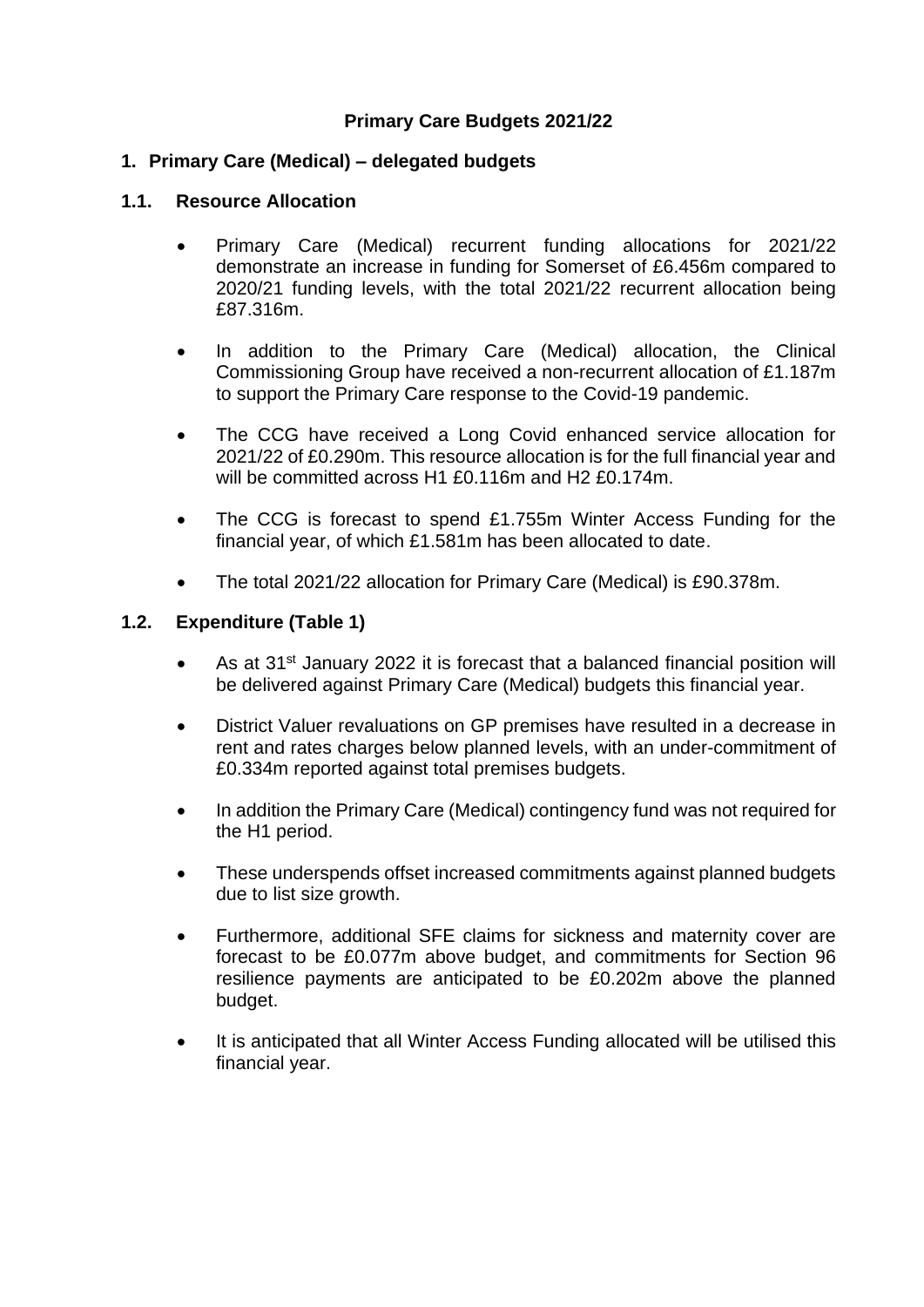#### **Primary Care Budgets 2021/22**

#### **1. Primary Care (Medical) – delegated budgets**

#### **1.1. Resource Allocation**

- Primary Care (Medical) recurrent funding allocations for 2021/22 demonstrate an increase in funding for Somerset of £6.456m compared to 2020/21 funding levels, with the total 2021/22 recurrent allocation being £87.316m.
- In addition to the Primary Care (Medical) allocation, the Clinical Commissioning Group have received a non-recurrent allocation of £1.187m to support the Primary Care response to the Covid-19 pandemic.
- The CCG have received a Long Covid enhanced service allocation for 2021/22 of £0.290m. This resource allocation is for the full financial year and will be committed across H1 £0.116m and H2 £0.174m.
- The CCG is forecast to spend £1.755m Winter Access Funding for the financial year, of which £1.581m has been allocated to date.
- The total 2021/22 allocation for Primary Care (Medical) is £90.378m.

#### **1.2. Expenditure (Table 1)**

- As at 31<sup>st</sup> January 2022 it is forecast that a balanced financial position will be delivered against Primary Care (Medical) budgets this financial year.
- District Valuer revaluations on GP premises have resulted in a decrease in rent and rates charges below planned levels, with an under-commitment of £0.334m reported against total premises budgets.
- In addition the Primary Care (Medical) contingency fund was not required for the H1 period.
- These underspends offset increased commitments against planned budgets due to list size growth.
- Furthermore, additional SFE claims for sickness and maternity cover are forecast to be £0.077m above budget, and commitments for Section 96 resilience payments are anticipated to be £0.202m above the planned budget.
- It is anticipated that all Winter Access Funding allocated will be utilised this financial year.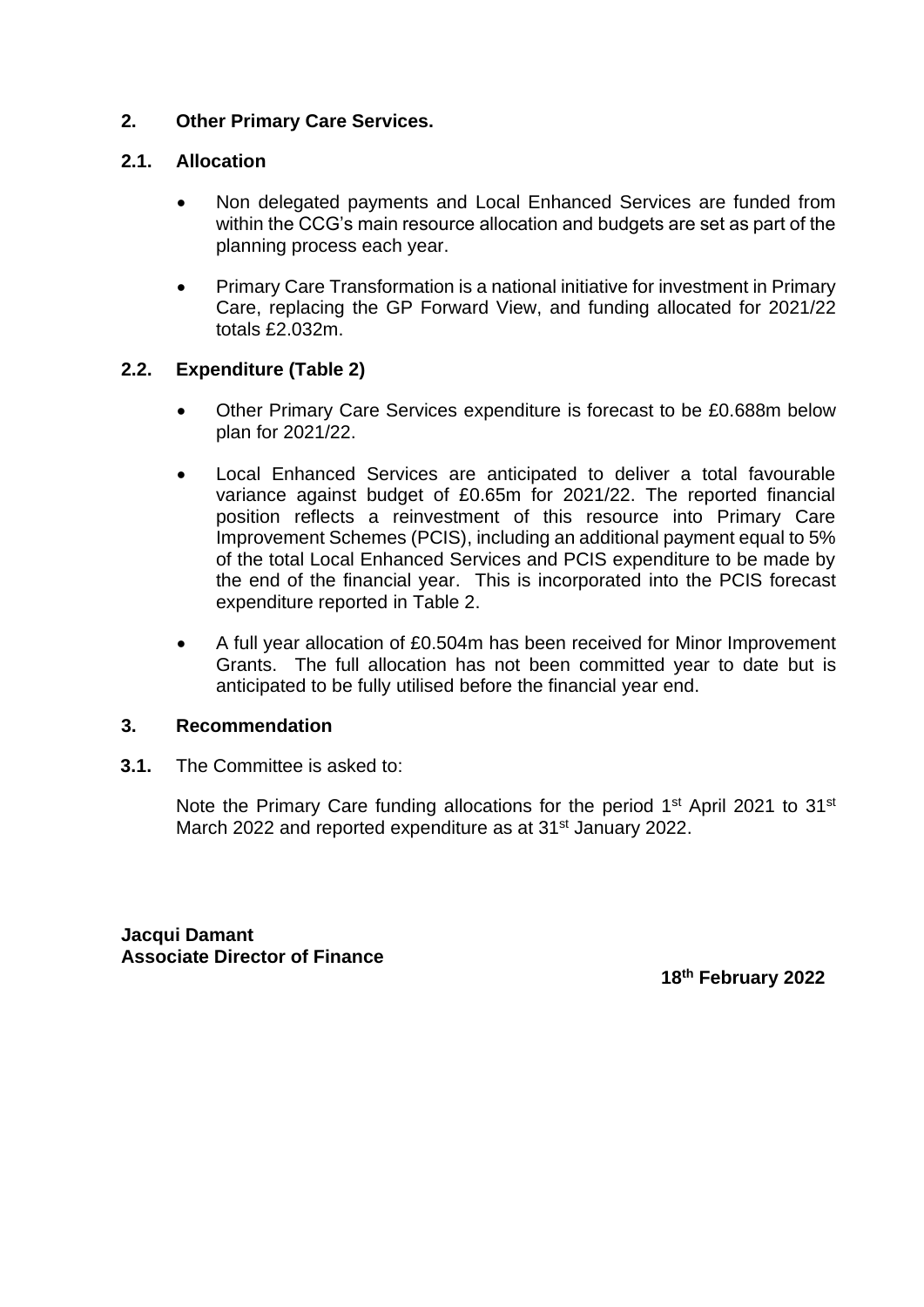#### **2. Other Primary Care Services.**

#### **2.1. Allocation**

- Non delegated payments and Local Enhanced Services are funded from within the CCG's main resource allocation and budgets are set as part of the planning process each year.
- Primary Care Transformation is a national initiative for investment in Primary Care, replacing the GP Forward View, and funding allocated for 2021/22 totals £2.032m.

#### **2.2. Expenditure (Table 2)**

- Other Primary Care Services expenditure is forecast to be £0.688m below plan for 2021/22.
- Local Enhanced Services are anticipated to deliver a total favourable variance against budget of £0.65m for 2021/22. The reported financial position reflects a reinvestment of this resource into Primary Care Improvement Schemes (PCIS), including an additional payment equal to 5% of the total Local Enhanced Services and PCIS expenditure to be made by the end of the financial year. This is incorporated into the PCIS forecast expenditure reported in Table 2.
- A full year allocation of £0.504m has been received for Minor Improvement Grants. The full allocation has not been committed year to date but is anticipated to be fully utilised before the financial year end.

#### **3. Recommendation**

**3.1.** The Committee is asked to:

Note the Primary Care funding allocations for the period 1<sup>st</sup> April 2021 to 31<sup>st</sup> March 2022 and reported expenditure as at 31<sup>st</sup> January 2022.

**Jacqui Damant Associate Director of Finance**

**18 th February 2022**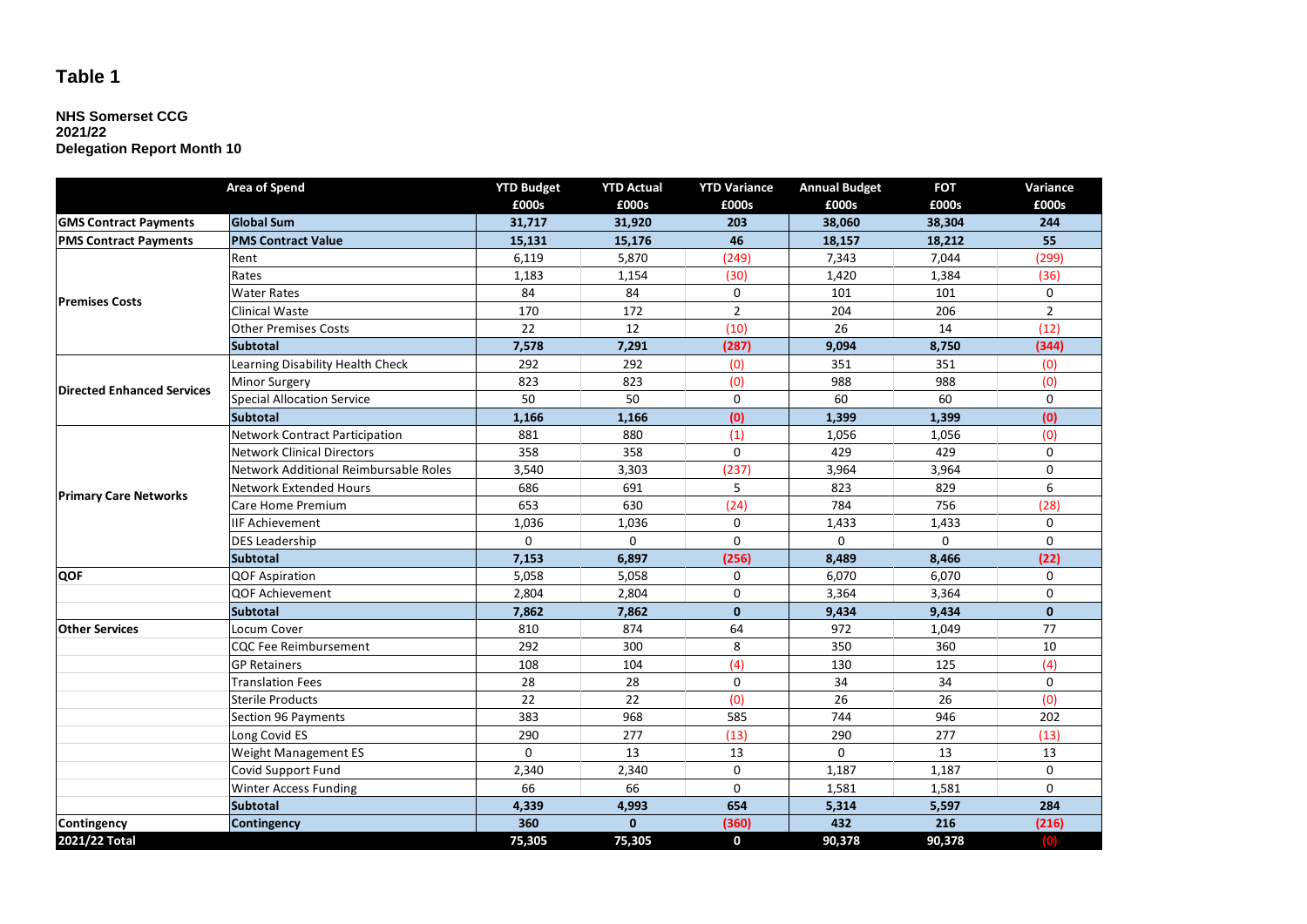### **Table 1**

#### **NHS Somerset CCG 2021/22 Delegation Report Month 10**

|                                   | Area of Spend                         | <b>YTD Budget</b> | <b>YTD Actual</b> | <b>YTD Variance</b> | <b>Annual Budget</b> | <b>FOT</b> | Variance       |
|-----------------------------------|---------------------------------------|-------------------|-------------------|---------------------|----------------------|------------|----------------|
|                                   |                                       | £000s             | £000s             | £000s               | £000s                | £000s      | £000s          |
| <b>GMS Contract Payments</b>      | <b>Global Sum</b>                     | 31,717            | 31,920            | 203                 | 38.060               | 38,304     | 244            |
| <b>PMS Contract Payments</b>      | <b>PMS Contract Value</b>             | 15,131            | 15,176            | 46                  | 18,157               | 18,212     | 55             |
| <b>Premises Costs</b>             | Rent                                  | 6,119             | 5,870             | (249)               | 7,343                | 7,044      | (299)          |
|                                   | Rates                                 | 1,183             | 1,154             | (30)                | 1,420                | 1,384      | (36)           |
|                                   | <b>Water Rates</b>                    | 84                | 84                | 0                   | 101                  | 101        | 0              |
|                                   | Clinical Waste                        | 170               | 172               | $\overline{2}$      | 204                  | 206        | $\overline{2}$ |
|                                   | Other Premises Costs                  | 22                | 12                | (10)                | 26                   | 14         | (12)           |
|                                   | <b>Subtotal</b>                       | 7,578             | 7,291             | (287)               | 9,094                | 8,750      | (344)          |
|                                   | Learning Disability Health Check      | 292               | 292               | (0)                 | 351                  | 351        | (0)            |
| <b>Directed Enhanced Services</b> | <b>Minor Surgery</b>                  | 823               | 823               | (0)                 | 988                  | 988        | (0)            |
|                                   | <b>Special Allocation Service</b>     | 50                | 50                | $\mathbf 0$         | 60                   | 60         | $\Omega$       |
|                                   | <b>Subtotal</b>                       | 1,166             | 1,166             | (0)                 | 1,399                | 1,399      | (0)            |
|                                   | <b>Network Contract Participation</b> | 881               | 880               | (1)                 | 1,056                | 1,056      | (0)            |
|                                   | <b>Network Clinical Directors</b>     | 358               | 358               | $\mathbf 0$         | 429                  | 429        | 0              |
|                                   | Network Additional Reimbursable Roles | 3,540             | 3,303             | (237)               | 3,964                | 3,964      | 0              |
|                                   | Network Extended Hours                | 686               | 691               | 5                   | 823                  | 829        | 6              |
| <b>Primary Care Networks</b>      | Care Home Premium                     | 653               | 630               | (24)                | 784                  | 756        | (28)           |
|                                   | <b>IIF Achievement</b>                | 1,036             | 1,036             | 0                   | 1,433                | 1,433      | 0              |
|                                   | <b>DES Leadership</b>                 | 0                 | 0                 | 0                   | $\mathbf 0$          | $\Omega$   | 0              |
|                                   | <b>Subtotal</b>                       | 7,153             | 6,897             | (256)               | 8,489                | 8,466      | (22)           |
| QOF                               | <b>QOF Aspiration</b>                 | 5,058             | 5,058             | 0                   | 6,070                | 6,070      | 0              |
|                                   | QOF Achievement                       | 2,804             | 2,804             | 0                   | 3,364                | 3,364      | 0              |
|                                   | <b>Subtotal</b>                       | 7,862             | 7,862             | $\mathbf{0}$        | 9,434                | 9,434      | $\mathbf{0}$   |
| <b>Other Services</b>             | Locum Cover                           | 810               | 874               | 64                  | 972                  | 1,049      | 77             |
|                                   | CQC Fee Reimbursement                 | 292               | 300               | 8                   | 350                  | 360        | 10             |
|                                   | <b>GP Retainers</b>                   | 108               | 104               | (4)                 | 130                  | 125        | (4)            |
|                                   | Translation Fees                      | 28                | 28                | 0                   | 34                   | 34         | 0              |
|                                   | Sterile Products                      | 22                | 22                | (0)                 | 26                   | 26         | (0)            |
|                                   | Section 96 Payments                   | 383               | 968               | 585                 | 744                  | 946        | 202            |
|                                   | Long Covid ES                         | 290               | 277               | (13)                | 290                  | 277        | (13)           |
|                                   | Weight Management ES                  | $\Omega$          | 13                | 13                  | $\Omega$             | 13         | 13             |
|                                   | Covid Support Fund                    | 2,340             | 2,340             | $\mathbf 0$         | 1,187                | 1,187      | 0              |
|                                   | Winter Access Funding                 | 66                | 66                | $\Omega$            | 1,581                | 1,581      | 0              |
|                                   | <b>Subtotal</b>                       | 4,339             | 4,993             | 654                 | 5,314                | 5,597      | 284            |
| Contingency                       | <b>Contingency</b>                    | 360               | $\mathbf{0}$      | (360)               | 432                  | 216        | (216)          |
| 2021/22 Total                     |                                       | 75,305            | 75,305            | $\mathbf 0$         | 90,378               | 90,378     | o              |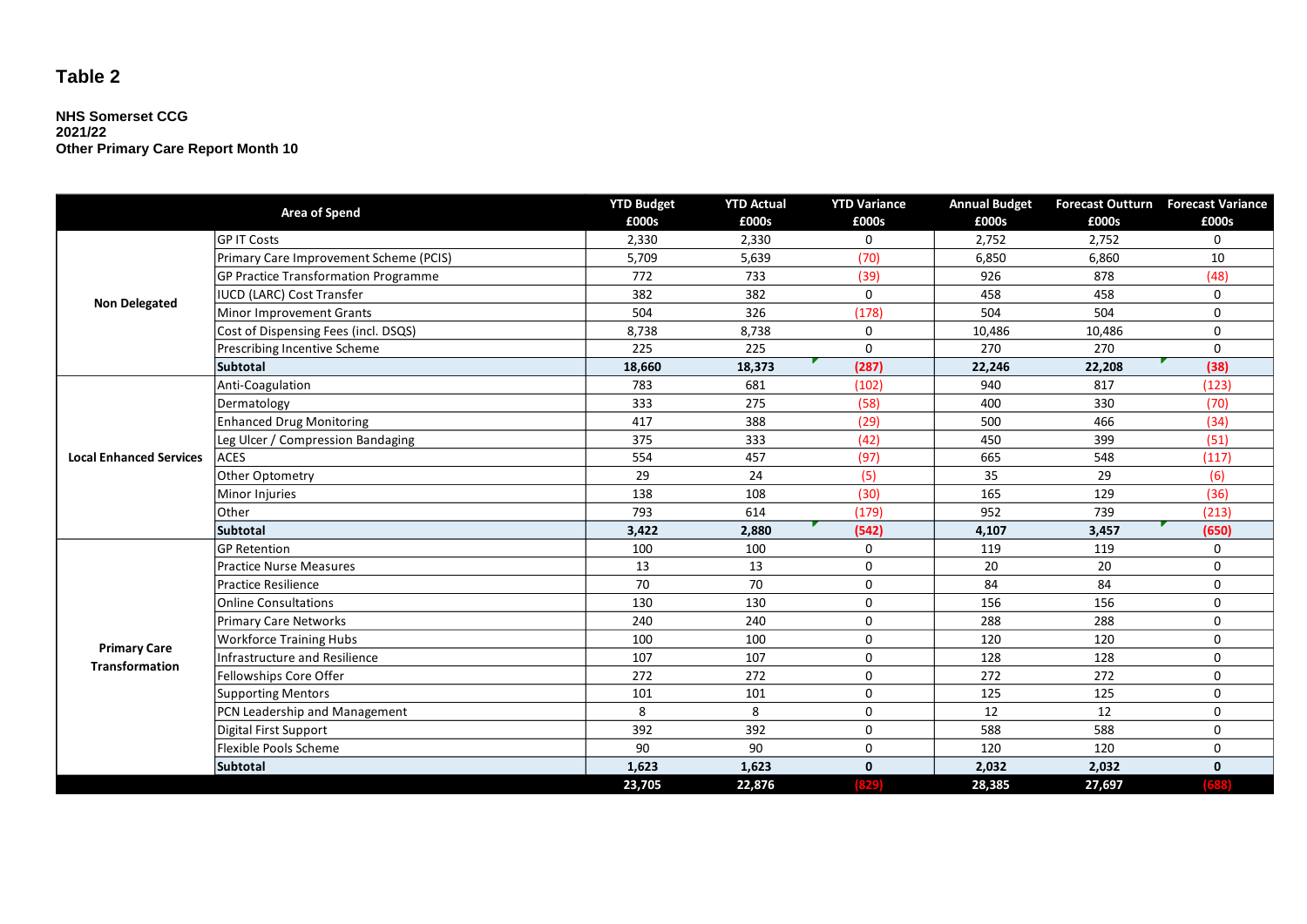## **Table 2**

#### **NHS Somerset CCG 2021/22 Other Primary Care Report Month 10**

| Area of Spend                  |                                             | <b>YTD Budget</b> | <b>YTD Actual</b> | <b>YTD Variance</b> | <b>Annual Budget</b> |        | Forecast Outturn Forecast Variance |
|--------------------------------|---------------------------------------------|-------------------|-------------------|---------------------|----------------------|--------|------------------------------------|
|                                |                                             | £000s             | £000s             | £000s               | £000s                | £000s  | £000s                              |
| <b>Non Delegated</b>           | <b>GPIT Costs</b>                           | 2,330             | 2,330             | 0                   | 2,752                | 2,752  | $\mathbf 0$                        |
|                                | Primary Care Improvement Scheme (PCIS)      | 5,709             | 5,639             | (70)                | 6,850                | 6,860  | 10                                 |
|                                | <b>GP Practice Transformation Programme</b> | 772               | 733               | (39)                | 926                  | 878    | (48)                               |
|                                | <b>IUCD (LARC) Cost Transfer</b>            | 382               | 382               | $\mathbf 0$         | 458                  | 458    | 0                                  |
|                                | Minor Improvement Grants                    | 504               | 326               | (178)               | 504                  | 504    | 0                                  |
|                                | Cost of Dispensing Fees (incl. DSQS)        | 8,738             | 8,738             | $\mathbf 0$         | 10,486               | 10,486 | 0                                  |
|                                | Prescribing Incentive Scheme                | 225               | 225               | $\mathbf{0}$        | 270                  | 270    | $\Omega$                           |
|                                | <b>Subtotal</b>                             | 18,660            | 18,373            | (287)               | 22,246               | 22,208 | (38)                               |
|                                | Anti-Coagulation                            | 783               | 681               | (102)               | 940                  | 817    | (123)                              |
|                                | Dermatology                                 | 333               | 275               | (58)                | 400                  | 330    | (70)                               |
| <b>Local Enhanced Services</b> | <b>Enhanced Drug Monitoring</b>             | 417               | 388               | (29)                | 500                  | 466    | (34)                               |
|                                | Leg Ulcer / Compression Bandaging           | 375               | 333               | (42)                | 450                  | 399    | (51)                               |
|                                | <b>ACES</b>                                 | 554               | 457               | (97)                | 665                  | 548    | (117)                              |
|                                | Other Optometry                             | 29                | 24                | (5)                 | 35                   | 29     | (6)                                |
|                                | Minor Injuries                              | 138               | 108               | (30)                | 165                  | 129    | (36)                               |
|                                | Other                                       | 793               | 614               | (179)               | 952                  | 739    | (213)                              |
|                                | <b>Subtotal</b>                             | 3,422             | 2,880             | (542)               | 4,107                | 3,457  | (650)                              |
|                                | <b>GP Retention</b>                         | 100               | 100               | $\mathbf 0$         | 119                  | 119    | $\mathbf 0$                        |
|                                | <b>Practice Nurse Measures</b>              | 13                | 13                | $\mathbf 0$         | 20                   | 20     | 0                                  |
|                                | <b>Practice Resilience</b>                  | 70                | 70                | 0                   | 84                   | 84     | 0                                  |
|                                | <b>Online Consultations</b>                 | 130               | 130               | $\mathsf{O}$        | 156                  | 156    | 0                                  |
|                                | <b>Primary Care Networks</b>                | 240               | 240               | $\mathbf 0$         | 288                  | 288    | $\mathbf 0$                        |
| <b>Primary Care</b>            | <b>Workforce Training Hubs</b>              | 100               | 100               | $\mathbf 0$         | 120                  | 120    | 0                                  |
| <b>Transformation</b>          | <b>Infrastructure and Resilience</b>        | 107               | 107               | 0                   | 128                  | 128    | 0                                  |
|                                | Fellowships Core Offer                      | 272               | 272               | 0                   | 272                  | 272    | 0                                  |
|                                | <b>Supporting Mentors</b>                   | 101               | 101               | 0                   | 125                  | 125    | 0                                  |
|                                | PCN Leadership and Management               | 8                 | 8                 | 0                   | 12                   | 12     | 0                                  |
|                                | Digital First Support                       | 392               | 392               | 0                   | 588                  | 588    | 0                                  |
|                                | Flexible Pools Scheme                       | 90                | 90                | 0                   | 120                  | 120    | 0                                  |
|                                | <b>Subtotal</b>                             | 1,623             | 1,623             | $\mathbf{0}$        | 2,032                | 2,032  | $\mathbf 0$                        |
|                                |                                             | 23,705            | 22,876            | 3291                | 28,385               | 27,697 |                                    |